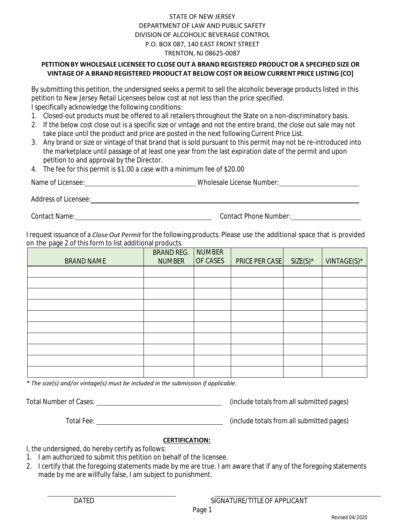## STATE OF NEW JERSEY DEPARTMENT OF LAW AND PUBLIC SAFETY DIVISION OF ALCOHOLIC BEVERAGE CONTROL P.O. BOX 087, 140 EAST FRONT STREET TRENTON, NJ 08625-0087

## **PETITIONBY WHOLESALE LICENSEE TO CLOSEOUT A BRAND REGISTERED PRODUCTOR A SPECIFIED SIZE OR VINTAGEOF A BRANDREGISTERED PRODUCTAT BELOW COST OR BELOW CURRENT PRICE LISTING [CO]**

By submitting this petition, the undersigned seeks a permit to sell the alcoholic beverage products listed in this petition to New Jersey Retail Licensees below cost at not less than the price specified. I specifically acknowledge the following conditions:

- 1. Closed-out products must be offered to all retailers throughout the State on a non-discriminatory basis.
- 2. If the below cost close out is a specific size or vintage and not the entire brand, the close out sale may not take place until the product and price are posted in the next following Current Price List.
- 3. Any brand or size or vintage of that brand that is sold pursuant to this permit may not be re-introduced into the marketplace until passage of at least one year from the last expiration date of the permit and upon petition to and approval by the Director.
- 4. The fee for this permit is \$1.00 a case with a minimum fee of \$20.00

| Name of L<br>Licensee: | Wholesale License Number |
|------------------------|--------------------------|
|                        |                          |

Address of Licensee:

Contact Name: Contact Phone Number:

I request issuance of a *Close Out Permit* for the following products. Please use the additional space that is provided on the page 2 of this form to list additional products.

| BRAND NAME | BRAND REG.<br><b>NUMBER</b> | <b>NUMBER</b><br>OF CASES | PRICE PER CASE | $SIZE(S)^*$ | VINTAGE(S)* |
|------------|-----------------------------|---------------------------|----------------|-------------|-------------|
|            |                             |                           |                |             |             |
|            |                             |                           |                |             |             |
|            |                             |                           |                |             |             |
|            |                             |                           |                |             |             |
|            |                             |                           |                |             |             |
|            |                             |                           |                |             |             |
|            |                             |                           |                |             |             |
|            |                             |                           |                |             |             |
|            |                             |                           |                |             |             |
|            |                             |                           |                |             |             |

*\* The size(s) and/or vintage(s) must be included in the submission if applicable.*

Total Number of Cases: (include totals from all submitted pages)

Total Fee: (include totals from all submitted pages)

## **CERTIFICATION:**

I, the undersigned, do hereby certify as follows:

- 1. I am authorized to submit this petition on behalf of the licensee.
- 2. I certify that the foregoing statements made by me are true. I am aware that if any of the foregoing statements made by me are willfully false, I am subject to punishment.

DATED SIGNATURE/TITLEOF APPLICANT